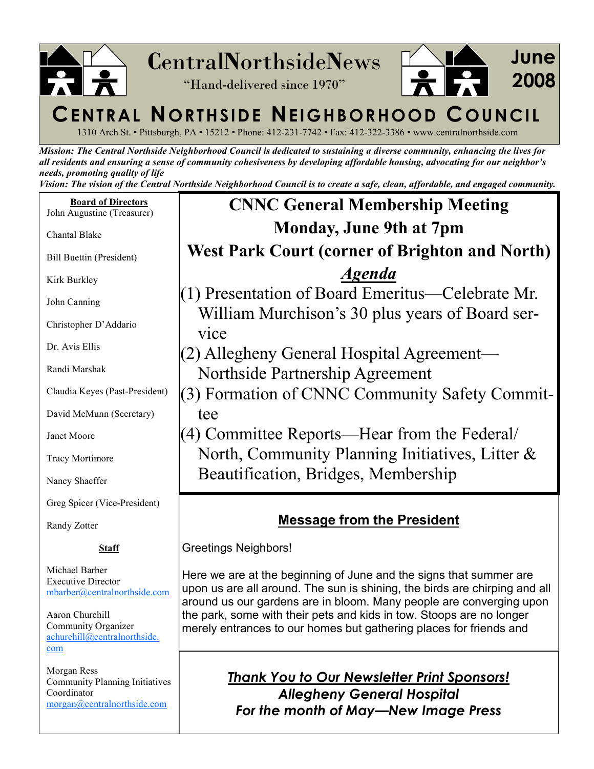

1310 Arch St. ▪ Pittsburgh, PA ▪ 15212 ▪ Phone: 412-231-7742 ▪ Fax: 412-322-3386 ▪ www.centralnorthside.com

Mission: The Central Northside Neighborhood Council is dedicated to sustaining a diverse community, enhancing the lives for all residents and ensuring a sense of community cohesiveness by developing affordable housing, advocating for our neighbor's needs, promoting quality of life

Vision: The vision of the Central Northside Neighborhood Council is to create a safe, clean, affordable, and engaged community.

Board of Directors John Augustine (Treasurer)

Chantal Blake

Bill Buettin (President)

Kirk Burkley

John Canning

Christopher D'Addario

Dr. Avis Ellis

Randi Marshak

Claudia Keyes (Past-President)

David McMunn (Secretary)

Janet Moore

Tracy Mortimore

Nancy Shaeffer

Greg Spicer (Vice-President)

Randy Zotter

#### Staff

Michael Barber Executive Director mbarber@centralnorthside.com

Aaron Churchill Community Organizer achurchill@centralnorthside. com

Morgan Ress Community Planning Initiatives Coordinator morgan@centralnorthside.com

# CNNC General Membership Meeting Monday, June 9th at 7pm West Park Court (corner of Brighton and North) Agenda

(1) Presentation of Board Emeritus—Celebrate Mr. William Murchison's 30 plus years of Board service

(2) Allegheny General Hospital Agreement— Northside Partnership Agreement

(3) Formation of CNNC Community Safety Committee

(4) Committee Reports—Hear from the Federal/ North, Community Planning Initiatives, Litter & Beautification, Bridges, Membership

# Message from the President

Greetings Neighbors!

Here we are at the beginning of June and the signs that summer are upon us are all around. The sun is shining, the birds are chirping and all around us our gardens are in bloom. Many people are converging upon the park, some with their pets and kids in tow. Stoops are no longer merely entrances to our homes but gathering places for friends and

> Thank You to Our Newsletter Print Sponsors! Allegheny General Hospital For the month of May—New Image Press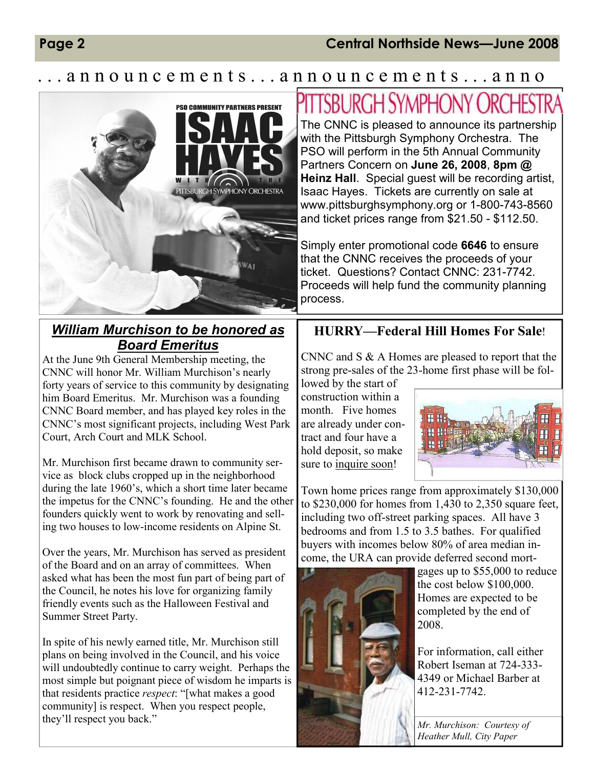### Page 2 Central Northside News—June 2008

## announcements...announcements...anno



### William Murchison to be honored as Board Emeritus

At the June 9th General Membership meeting, the CNNC will honor Mr. William Murchison's nearly forty years of service to this community by designating him Board Emeritus. Mr. Murchison was a founding CNNC Board member, and has played key roles in the CNNC's most significant projects, including West Park Court, Arch Court and MLK School.

Mr. Murchison first became drawn to community service as block clubs cropped up in the neighborhood during the late 1960's, which a short time later became the impetus for the CNNC's founding. He and the other founders quickly went to work by renovating and selling two houses to low-income residents on Alpine St.

Over the years, Mr. Murchison has served as president of the Board and on an array of committees. When asked what has been the most fun part of being part of the Council, he notes his love for organizing family friendly events such as the Halloween Festival and Summer Street Party.

In spite of his newly earned title, Mr. Murchison still plans on being involved in the Council, and his voice will undoubtedly continue to carry weight. Perhaps the most simple but poignant piece of wisdom he imparts is that residents practice respect: "[what makes a good community] is respect. When you respect people, they'll respect you back."  $\sqrt{Mr. \; Murchison: \; Courtesy \; of}$ 

# PITTSBURGH SYMPHONY ORCHESTI

The CNNC is pleased to announce its partnership with the Pittsburgh Symphony Orchestra. The PSO will perform in the 5th Annual Community Partners Concern on June 26, 2008, 8pm @ Heinz Hall. Special quest will be recording artist, Isaac Hayes. Tickets are currently on sale at www.pittsburghsymphony.org or 1-800-743-8560 and ticket prices range from \$21.50 - \$112.50.

Simply enter promotional code 6646 to ensure that the CNNC receives the proceeds of your ticket. Questions? Contact CNNC: 231-7742. Proceeds will help fund the community planning process.

#### HURRY—Federal Hill Homes For Sale!

CNNC and S & A Homes are pleased to report that the strong pre-sales of the 23-home first phase will be fol-

lowed by the start of construction within a month. Five homes are already under contract and four have a hold deposit, so make sure to inquire soon!



Town home prices range from approximately \$130,000 to \$230,000 for homes from 1,430 to 2,350 square feet, including two off-street parking spaces. All have 3 bedrooms and from 1.5 to 3.5 bathes. For qualified buyers with incomes below 80% of area median income, the URA can provide deferred second mort-



gages up to \$55,000 to reduce the cost below \$100,000. Homes are expected to be completed by the end of 2008.

For information, call either Robert Iseman at 724-333- 4349 or Michael Barber at 412-231-7742.

Heather Mull, City Paper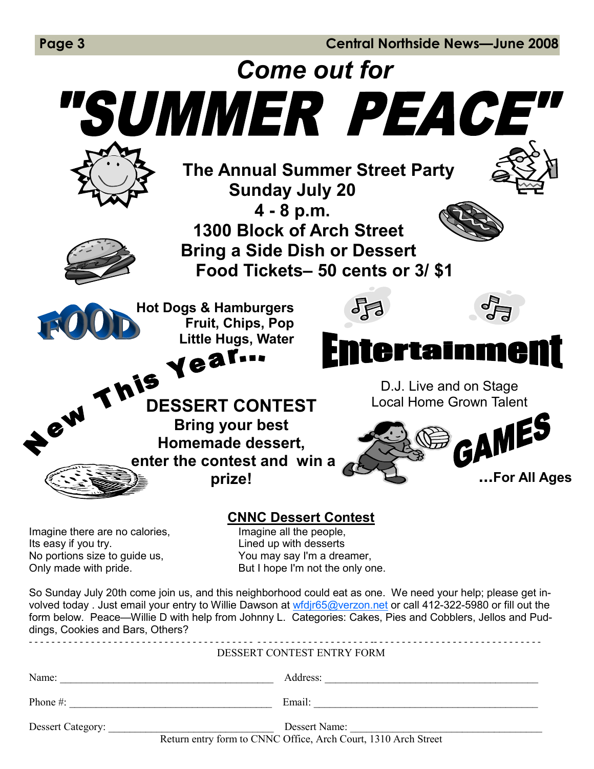Page 3 Central Northside News—June 2008

Come out for "SUMMER PEACE" The Annual Summer Street Party Sunday July 20 4 - 8 p.m. 1300 Block of Arch Street Bring a Side Dish or Dessert Food Tickets– 50 cents or 3/ \$1 昂 Hot Dogs & Hamburgers **PERIT-PRIS YEAT-PRISERT CONTEST** Fruit, Chips, Pop Little Hugs, Water **Entertainment** D.J. Live and on Stage Local Home Grown Talent Bring your best Homemade dessert, enter the contest and win a ...For All Ages prize! CNNC Dessert Contest Imagine there are no calories, **Imagine all the people,** Its easy if you try. The same series of the Unit of the Unit of the Unit of the Unit of the Unit of the Unit o No portions size to guide us, You may say I'm a dreamer, Only made with pride. But I hope I'm not the only one. So Sunday July 20th come join us, and this neighborhood could eat as one. We need your help; please get involved today . Just email your entry to Willie Dawson at wfdjr65@verzon.net or call 412-322-5980 or fill out the form below. Peace—Willie D with help from Johnny L. Categories: Cakes, Pies and Cobblers, Jellos and Puddings, Cookies and Bars, Others? - - - - - - - - - - - - - - - - - - - - - - - - - - - - - - - - - - - - - - - - - - - - - - - - - - - - - - - - - - - - -- - - - - - - - - - - - - - - - - - - - - - - - - - - - - - DESSERT CONTEST ENTRY FORM Name: The contract of the contract of the contract of  $\Delta$ ddress:  $\Delta$ ddress:  $\Delta$ Phone #: \_\_\_\_\_\_\_\_\_\_\_\_\_\_\_\_\_\_\_\_\_\_\_\_\_\_\_\_\_\_\_\_\_\_\_\_\_\_ Email: \_\_\_\_\_\_\_\_\_\_\_\_\_\_\_\_\_\_\_\_\_\_\_\_\_\_\_\_\_\_\_\_\_\_\_\_\_\_\_\_\_\_ Dessert Category: \_\_\_\_\_\_\_\_\_\_\_\_\_\_\_\_\_\_\_\_\_\_\_\_\_\_\_\_\_\_\_ Dessert Name: \_\_\_\_\_\_\_\_\_\_\_\_\_\_\_\_\_\_\_\_\_\_\_\_\_\_\_\_\_\_\_\_\_\_\_\_ Return entry form to CNNC Office, Arch Court, 1310 Arch Street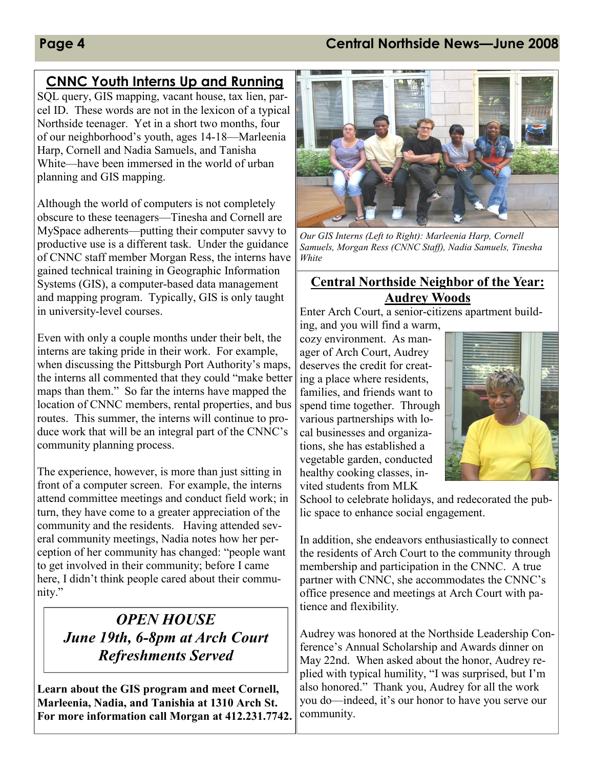### Page 4 Central Northside News—June 2008

## CNNC Youth Interns Up and Running

SQL query, GIS mapping, vacant house, tax lien, parcel ID. These words are not in the lexicon of a typical Northside teenager. Yet in a short two months, four of our neighborhood's youth, ages 14-18—Marleenia Harp, Cornell and Nadia Samuels, and Tanisha White—have been immersed in the world of urban planning and GIS mapping.

Although the world of computers is not completely obscure to these teenagers—Tinesha and Cornell are MySpace adherents—putting their computer savvy to productive use is a different task. Under the guidance of CNNC staff member Morgan Ress, the interns have gained technical training in Geographic Information Systems (GIS), a computer-based data management and mapping program. Typically, GIS is only taught in university-level courses.

Even with only a couple months under their belt, the interns are taking pride in their work. For example, when discussing the Pittsburgh Port Authority's maps, the interns all commented that they could "make better maps than them." So far the interns have mapped the location of CNNC members, rental properties, and bus routes. This summer, the interns will continue to produce work that will be an integral part of the CNNC's community planning process.

The experience, however, is more than just sitting in front of a computer screen. For example, the interns attend committee meetings and conduct field work; in turn, they have come to a greater appreciation of the community and the residents. Having attended several community meetings, Nadia notes how her perception of her community has changed: "people want to get involved in their community; before I came here, I didn't think people cared about their community."

# OPEN HOUSE June 19th, 6-8pm at Arch Court Refreshments Served

Learn about the GIS program and meet Cornell, Marleenia, Nadia, and Tanishia at 1310 Arch St. For more information call Morgan at 412.231.7742.



Our GIS Interns (Left to Right): Marleenia Harp, Cornell Samuels, Morgan Ress (CNNC Staff), Nadia Samuels, Tinesha White

#### Central Northside Neighbor of the Year: Audrey Woods

Enter Arch Court, a senior-citizens apartment build-

ing, and you will find a warm, cozy environment. As manager of Arch Court, Audrey deserves the credit for creating a place where residents, families, and friends want to spend time together. Through various partnerships with local businesses and organizations, she has established a vegetable garden, conducted healthy cooking classes, invited students from MLK



School to celebrate holidays, and redecorated the public space to enhance social engagement.

In addition, she endeavors enthusiastically to connect the residents of Arch Court to the community through membership and participation in the CNNC. A true partner with CNNC, she accommodates the CNNC's office presence and meetings at Arch Court with patience and flexibility.

Audrey was honored at the Northside Leadership Conference's Annual Scholarship and Awards dinner on May 22nd. When asked about the honor, Audrey replied with typical humility, "I was surprised, but I'm also honored." Thank you, Audrey for all the work you do—indeed, it's our honor to have you serve our community.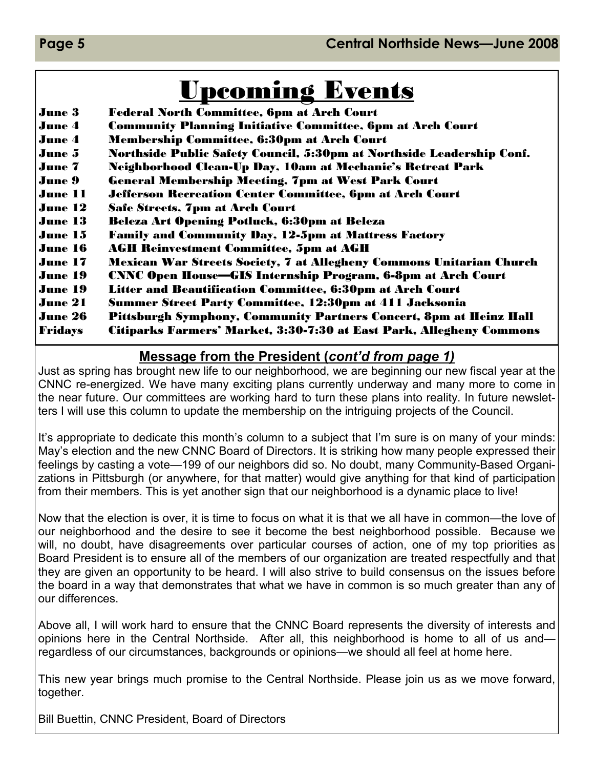# Upcoming Events

June 3 Federal North Committee, 6pm at Arch Court June 4 Community Planning Initiative Committee, 6pm at Arch Court June 4 Membership Committee, 6:30pm at Arch Court June 5 Northside Public Safety Council, 5:30pm at Northside Leadership Conf. June 7 Neighborhood Clean-Up Day, 10am at Mechanic's Retreat Park June 9 General Membership Meeting, 7pm at West Park Court June 11 Jefferson Recreation Center Committee, 6pm at Arch Court June 12 Safe Streets, 7pm at Arch Court June 13 Beleza Art Opening Potluck, 6:30pm at Beleza June 15 Family and Community Day, 12-5pm at Mattress Factory June 16 AGH Reinvestment Committee, 5pm at AGH June 17 Mexican War Streets Society, 7 at Allegheny Commons Unitarian Church June 19 CNNC Open House—GIS Internship Program, 6-8pm at Arch Court June 19 Litter and Beautification Committee, 6:30pm at Arch Court June 21 Summer Street Party Committee, 12:30pm at 411 Jacksonia June 26 Pittsburgh Symphony, Community Partners Concert, 8pm at Heinz Hall Fridays Citiparks Farmers' Market, 3:30-7:30 at East Park, Allegheny Commons

### Message from the President (cont'd from page 1)

Just as spring has brought new life to our neighborhood, we are beginning our new fiscal year at the CNNC re-energized. We have many exciting plans currently underway and many more to come in the near future. Our committees are working hard to turn these plans into reality. In future newsletters I will use this column to update the membership on the intriguing projects of the Council.

It's appropriate to dedicate this month's column to a subject that I'm sure is on many of your minds: May's election and the new CNNC Board of Directors. It is striking how many people expressed their feelings by casting a vote—199 of our neighbors did so. No doubt, many Community-Based Organizations in Pittsburgh (or anywhere, for that matter) would give anything for that kind of participation from their members. This is yet another sign that our neighborhood is a dynamic place to live!

Now that the election is over, it is time to focus on what it is that we all have in common—the love of our neighborhood and the desire to see it become the best neighborhood possible. Because we will, no doubt, have disagreements over particular courses of action, one of my top priorities as Board President is to ensure all of the members of our organization are treated respectfully and that they are given an opportunity to be heard. I will also strive to build consensus on the issues before the board in a way that demonstrates that what we have in common is so much greater than any of our differences.

Above all, I will work hard to ensure that the CNNC Board represents the diversity of interests and opinions here in the Central Northside. After all, this neighborhood is home to all of us and regardless of our circumstances, backgrounds or opinions—we should all feel at home here.

This new year brings much promise to the Central Northside. Please join us as we move forward, together.

Bill Buettin, CNNC President, Board of Directors